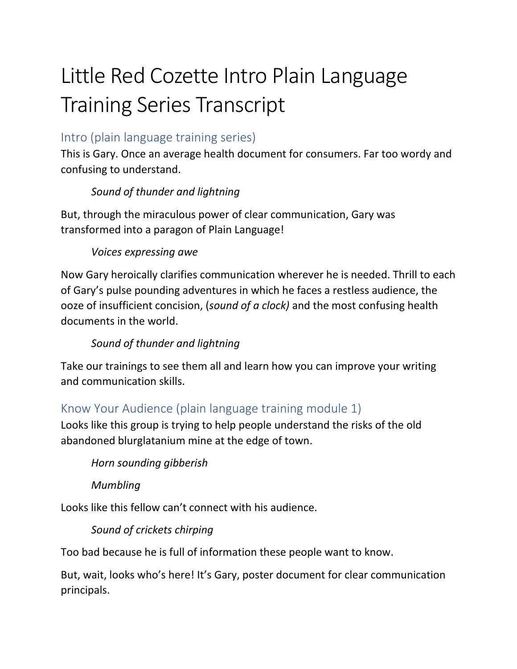# Little Red Cozette Intro Plain Language **Training Series Transcript**

## Intro [\(plain language training series\)](https://vimeo.com/146173934)

This is Gary. Once an average health document for consumers. Far too wordy and confusing to understand.

## *Sound of thunder and lightning*

But, through the miraculous power of clear communication, Gary was transformed into a paragon of Plain Language!

### *Voices expressing awe*

Now Gary heroically clarifies communication wherever he is needed. Thrill to each of Gary's pulse pounding adventures in which he faces a restless audience, the ooze of insufficient concision, (*sound of a clock)* and the most confusing health documents in the world.

# *Sound of thunder and lightning*

Take our trainings to see them all and learn how you can improve your writing and communication skills.

# [Know Your Audience \(plain language training module 1\)](https://vimeo.com/93293236)

Looks like this group is trying to help people understand the risks of the old abandoned blurglatanium mine at the edge of town.

#### *Horn sounding gibberish*

*Mumbling*

Looks like this fellow can't connect with his audience.

#### *Sound of crickets chirping*

Too bad because he is full of information these people want to know.

But, wait, looks who's here! It's Gary, poster document for clear communication principals.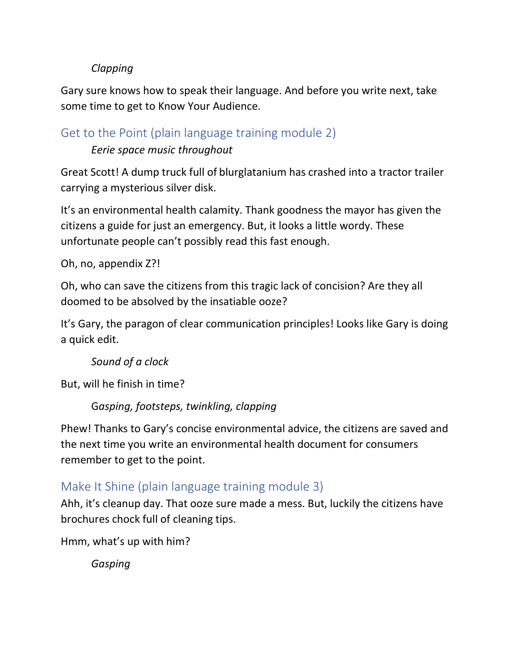#### *Clapping*

Gary sure knows how to speak their language. And before you write next, take some time to get to Know Your Audience.

Get to the Point (plain [language](https://vimeo.com/106982077) training module 2)

*Eerie space music throughout*

Great Scott! A dump truck full of blurglatanium has crashed into a tractor trailer carrying a mysterious silver disk.

It's an environmental health calamity. Thank goodness the mayor has given the citizens a guide for just an emergency. But, it looks a little wordy. These unfortunate people can't possibly read this fast enough.

Oh, no, appendix Z?!

Oh, who can save the citizens from this tragic lack of concision? Are they all doomed to be absolved by the insatiable ooze?

It's Gary, the paragon of clear communication principles! Looks like Gary is doing a quick edit.

*Sound of a clock*

But, will he finish in time?

G*asping, footsteps, twinkling, clapping*

Phew! Thanks to Gary's concise environmental advice, the citizens are saved and the next time you write an environmental health document for consumers remember to get to the point.

# Make It Shine (plain [language](https://vimeo.com/147266930) training module 3)

Ahh, it's cleanup day. That ooze sure made a mess. But, luckily the citizens have brochures chock full of cleaning tips.

Hmm, what's up with him?

*Gasping*